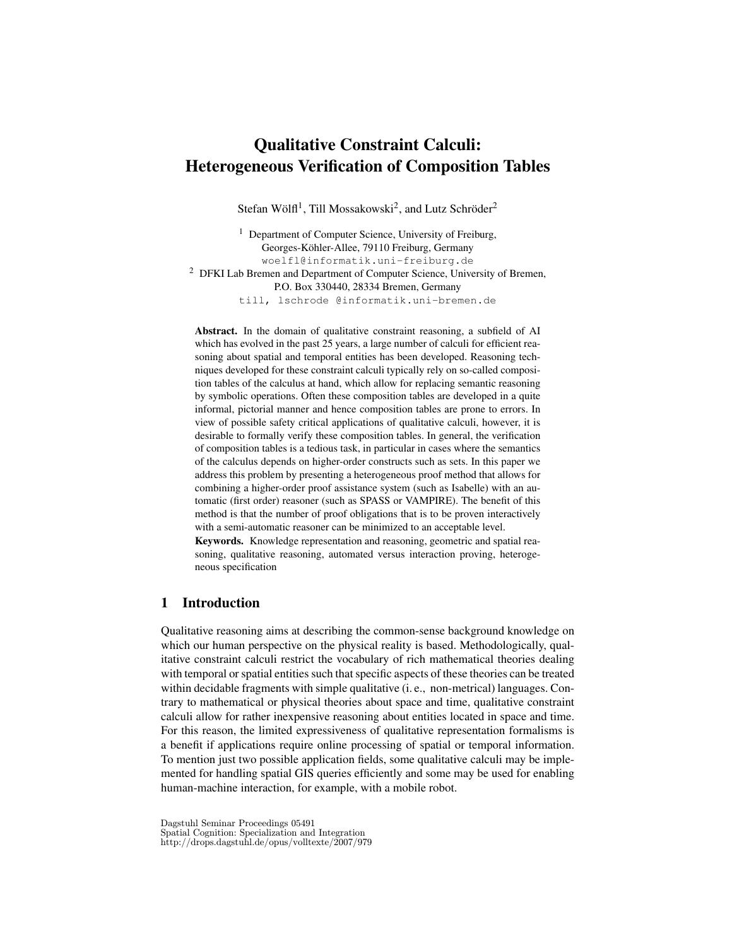# Qualitative Constraint Calculi: Heterogeneous Verification of Composition Tables

Stefan Wölfl<sup>1</sup>, Till Mossakowski<sup>2</sup>, and Lutz Schröder<sup>2</sup>

<sup>1</sup> Department of Computer Science, University of Freiburg, Georges-Köhler-Allee, 79110 Freiburg, Germany woelfl@informatik.uni-freiburg.de <sup>2</sup> DFKI Lab Bremen and Department of Computer Science, University of Bremen, P.O. Box 330440, 28334 Bremen, Germany till, lschrode @informatik.uni-bremen.de

Abstract. In the domain of qualitative constraint reasoning, a subfield of AI which has evolved in the past 25 years, a large number of calculi for efficient reasoning about spatial and temporal entities has been developed. Reasoning techniques developed for these constraint calculi typically rely on so-called composition tables of the calculus at hand, which allow for replacing semantic reasoning by symbolic operations. Often these composition tables are developed in a quite informal, pictorial manner and hence composition tables are prone to errors. In view of possible safety critical applications of qualitative calculi, however, it is desirable to formally verify these composition tables. In general, the verification of composition tables is a tedious task, in particular in cases where the semantics of the calculus depends on higher-order constructs such as sets. In this paper we address this problem by presenting a heterogeneous proof method that allows for combining a higher-order proof assistance system (such as Isabelle) with an automatic (first order) reasoner (such as SPASS or VAMPIRE). The benefit of this method is that the number of proof obligations that is to be proven interactively with a semi-automatic reasoner can be minimized to an acceptable level.

Keywords. Knowledge representation and reasoning, geometric and spatial reasoning, qualitative reasoning, automated versus interaction proving, heterogeneous specification

# 1 Introduction

Qualitative reasoning aims at describing the common-sense background knowledge on which our human perspective on the physical reality is based. Methodologically, qualitative constraint calculi restrict the vocabulary of rich mathematical theories dealing with temporal or spatial entities such that specific aspects of these theories can be treated within decidable fragments with simple qualitative (i. e., non-metrical) languages. Contrary to mathematical or physical theories about space and time, qualitative constraint calculi allow for rather inexpensive reasoning about entities located in space and time. For this reason, the limited expressiveness of qualitative representation formalisms is a benefit if applications require online processing of spatial or temporal information. To mention just two possible application fields, some qualitative calculi may be implemented for handling spatial GIS queries efficiently and some may be used for enabling human-machine interaction, for example, with a mobile robot.

Dagstuhl Seminar Proceedings 05491 Spatial Cognition: Specialization and Integration http://drops.dagstuhl.de/opus/volltexte/2007/979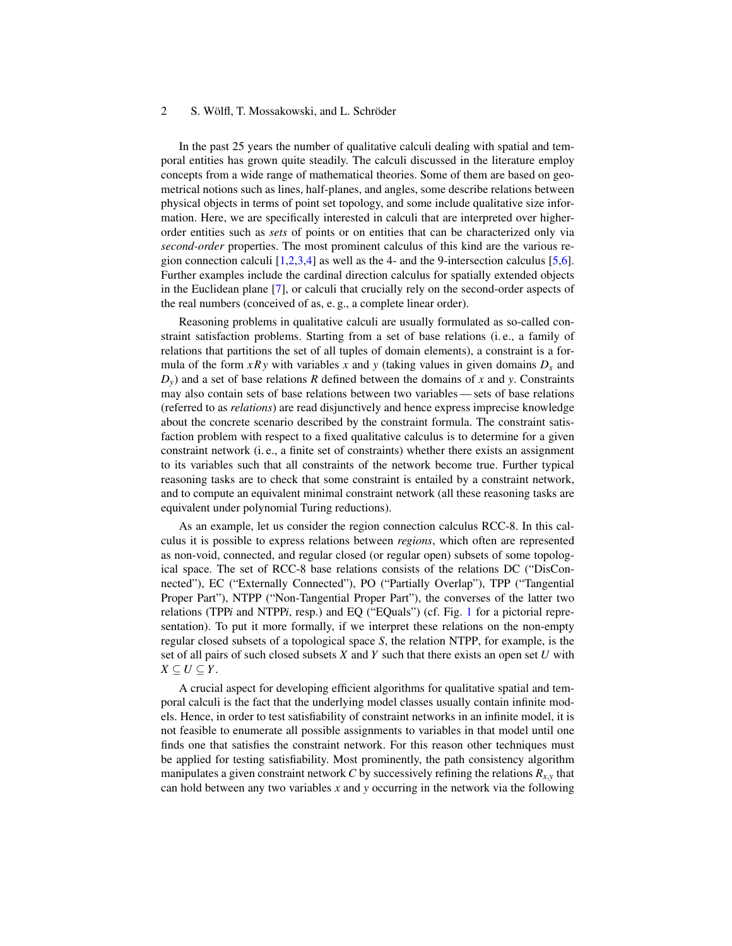In the past 25 years the number of qualitative calculi dealing with spatial and temporal entities has grown quite steadily. The calculi discussed in the literature employ concepts from a wide range of mathematical theories. Some of them are based on geometrical notions such as lines, half-planes, and angles, some describe relations between physical objects in terms of point set topology, and some include qualitative size information. Here, we are specifically interested in calculi that are interpreted over higherorder entities such as *sets* of points or on entities that can be characterized only via *second-order* properties. The most prominent calculus of this kind are the various region connection calculi  $[1,2,3,4]$  $[1,2,3,4]$  $[1,2,3,4]$  $[1,2,3,4]$  as well as the 4- and the 9-intersection calculus [\[5](#page-10-4)[,6\]](#page-10-5). Further examples include the cardinal direction calculus for spatially extended objects in the Euclidean plane [\[7\]](#page-10-6), or calculi that crucially rely on the second-order aspects of the real numbers (conceived of as, e. g., a complete linear order).

Reasoning problems in qualitative calculi are usually formulated as so-called constraint satisfaction problems. Starting from a set of base relations (i. e., a family of relations that partitions the set of all tuples of domain elements), a constraint is a formula of the form  $xRy$  with variables x and y (taking values in given domains  $D<sub>x</sub>$  and  $D_y$ ) and a set of base relations *R* defined between the domains of *x* and *y*. Constraints may also contain sets of base relations between two variables — sets of base relations (referred to as *relations*) are read disjunctively and hence express imprecise knowledge about the concrete scenario described by the constraint formula. The constraint satisfaction problem with respect to a fixed qualitative calculus is to determine for a given constraint network (i. e., a finite set of constraints) whether there exists an assignment to its variables such that all constraints of the network become true. Further typical reasoning tasks are to check that some constraint is entailed by a constraint network, and to compute an equivalent minimal constraint network (all these reasoning tasks are equivalent under polynomial Turing reductions).

As an example, let us consider the region connection calculus RCC-8. In this calculus it is possible to express relations between *regions*, which often are represented as non-void, connected, and regular closed (or regular open) subsets of some topological space. The set of RCC-8 base relations consists of the relations DC ("DisConnected"), EC ("Externally Connected"), PO ("Partially Overlap"), TPP ("Tangential Proper Part"), NTPP ("Non-Tangential Proper Part"), the converses of the latter two relations (TPP*i* and NTPP*i*, resp.) and EQ ("EQuals") (cf. Fig. [1](#page-2-0) for a pictorial representation). To put it more formally, if we interpret these relations on the non-empty regular closed subsets of a topological space *S*, the relation NTPP, for example, is the set of all pairs of such closed subsets *X* and *Y* such that there exists an open set *U* with  $X \subseteq U \subseteq Y$ .

A crucial aspect for developing efficient algorithms for qualitative spatial and temporal calculi is the fact that the underlying model classes usually contain infinite models. Hence, in order to test satisfiability of constraint networks in an infinite model, it is not feasible to enumerate all possible assignments to variables in that model until one finds one that satisfies the constraint network. For this reason other techniques must be applied for testing satisfiability. Most prominently, the path consistency algorithm manipulates a given constraint network *C* by successively refining the relations *Rx*,*<sup>y</sup>* that can hold between any two variables *x* and *y* occurring in the network via the following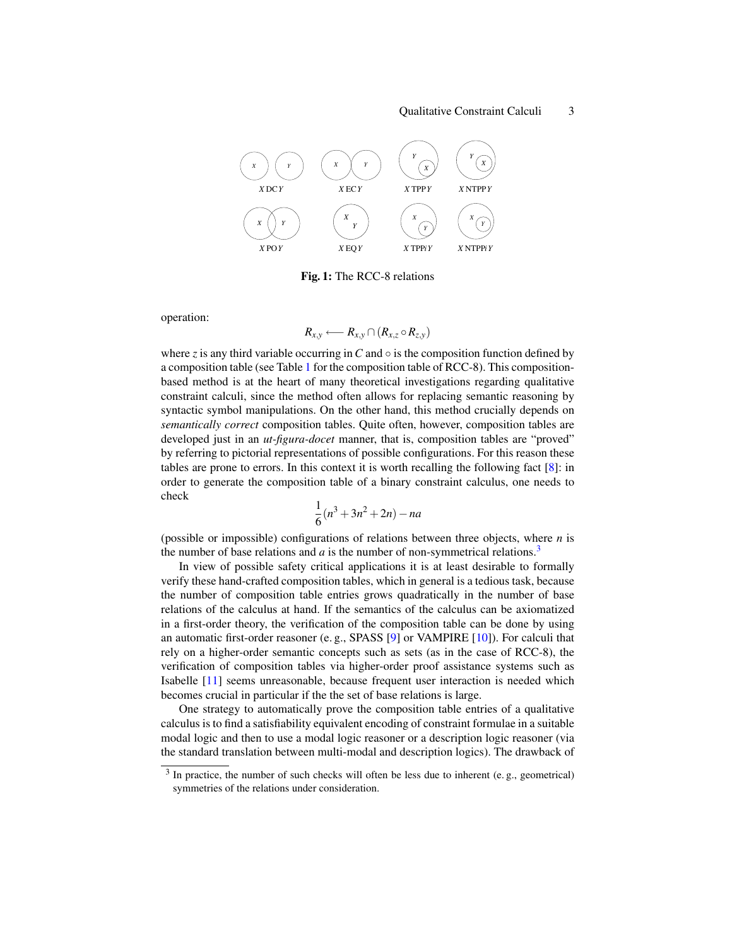

Fig. 1: The RCC-8 relations

<span id="page-2-0"></span>operation:

$$
R_{x,y} \longleftarrow R_{x,y} \cap (R_{x,z} \circ R_{z,y})
$$

where *z* is any third variable occurring in  $C$  and  $\circ$  is the composition function defined by a composition table (see Table [1](#page-3-0) for the composition table of RCC-8). This compositionbased method is at the heart of many theoretical investigations regarding qualitative constraint calculi, since the method often allows for replacing semantic reasoning by syntactic symbol manipulations. On the other hand, this method crucially depends on *semantically correct* composition tables. Quite often, however, composition tables are developed just in an *ut-figura-docet* manner, that is, composition tables are "proved" by referring to pictorial representations of possible configurations. For this reason these tables are prone to errors. In this context it is worth recalling the following fact [\[8\]](#page-10-7): in order to generate the composition table of a binary constraint calculus, one needs to check

$$
\frac{1}{6}(n^3 + 3n^2 + 2n) - na
$$

(possible or impossible) configurations of relations between three objects, where *n* is the number of base relations and  $a$  is the number of non-symmetrical relations.<sup>[3](#page-2-1)</sup>

In view of possible safety critical applications it is at least desirable to formally verify these hand-crafted composition tables, which in general is a tedious task, because the number of composition table entries grows quadratically in the number of base relations of the calculus at hand. If the semantics of the calculus can be axiomatized in a first-order theory, the verification of the composition table can be done by using an automatic first-order reasoner (e. g., SPASS [\[9\]](#page-10-8) or VAMPIRE [\[10\]](#page-10-9)). For calculi that rely on a higher-order semantic concepts such as sets (as in the case of RCC-8), the verification of composition tables via higher-order proof assistance systems such as Isabelle [\[11\]](#page-10-10) seems unreasonable, because frequent user interaction is needed which becomes crucial in particular if the the set of base relations is large.

One strategy to automatically prove the composition table entries of a qualitative calculus is to find a satisfiability equivalent encoding of constraint formulae in a suitable modal logic and then to use a modal logic reasoner or a description logic reasoner (via the standard translation between multi-modal and description logics). The drawback of

<span id="page-2-1"></span> $3$  In practice, the number of such checks will often be less due to inherent (e.g., geometrical) symmetries of the relations under consideration.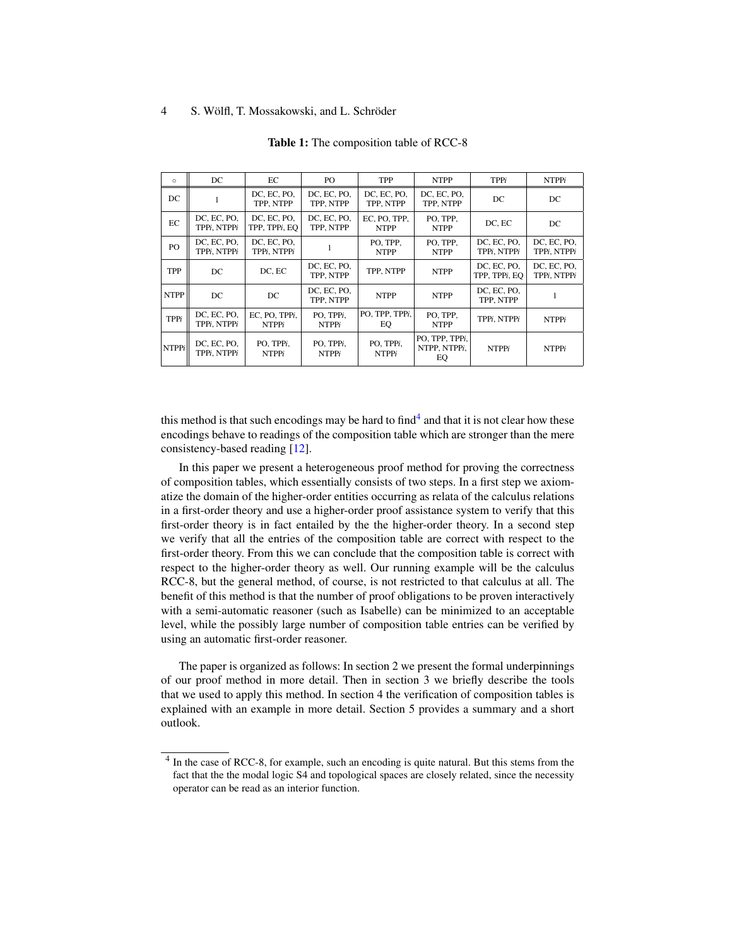<span id="page-3-0"></span>

| $\circ$      | DC                         | EC                            | PO                        | TPP                         | <b>NTPP</b>                          | TPPi                         | <b>NTPPi</b>               |
|--------------|----------------------------|-------------------------------|---------------------------|-----------------------------|--------------------------------------|------------------------------|----------------------------|
| DC           |                            | DC, EC, PO,<br>TPP, NTPP      | DC, EC, PO,<br>TPP, NTPP  | DC, EC, PO,<br>TPP, NTPP    | DC, EC, PO,<br>TPP. NTPP             | DC.                          | DC                         |
| EC           | DC, EC, PO,<br>TPPi. NTPPi | DC, EC, PO,<br>TPP, TPPi, EQ  | DC, EC, PO,<br>TPP. NTPP  | EC. PO. TPP.<br><b>NTPP</b> | PO. TPP.<br><b>NTPP</b>              | DC. EC                       | DC                         |
| PO           | DC, EC, PO,<br>TPPi. NTPPi | DC. EC. PO.<br>TPPi. NTPPi    |                           | PO, TPP,<br><b>NTPP</b>     | PO, TPP,<br><b>NTPP</b>              | DC. EC. PO.<br>TPPi. NTPPi   | DC, EC, PO,<br>TPPi. NTPPi |
| TPP          | DC                         | DC, EC                        | DC, EC, PO,<br>TPP. NTPP  | TPP, NTPP                   | <b>NTPP</b>                          | DC, EC, PO,<br>TPP. TPPi. EO | DC, EC, PO,<br>TPPi. NTPPi |
| <b>NTPP</b>  | DC                         | DC                            | DC, EC, PO,<br>TPP. NTPP  | <b>NTPP</b>                 | <b>NTPP</b>                          | DC, EC, PO,<br>TPP. NTPP     | 1                          |
| TPPi         | DC, EC, PO,<br>TPPi. NTPPi | EC, PO, TPPi,<br><b>NTPPi</b> | PO, TPPi,<br><b>NTPPi</b> | PO, TPP, TPPi,<br>EQ        | PO, TPP,<br><b>NTPP</b>              | TPPi. NTPPi                  | <b>NTPPi</b>               |
| <b>NTPPi</b> | DC, EC, PO,<br>TPPi. NTPPi | PO. TPPi.<br><b>NTPPi</b>     | PO, TPPi,<br><b>NTPPi</b> | PO, TPPi,<br><b>NTPPi</b>   | PO, TPP, TPPi,<br>NTPP. NTPPi.<br>EQ | <b>NTPPi</b>                 | <b>NTPPi</b>               |

Table 1: The composition table of RCC-8

this method is that such encodings may be hard to find $4$  and that it is not clear how these encodings behave to readings of the composition table which are stronger than the mere consistency-based reading [\[12\]](#page-10-11).

In this paper we present a heterogeneous proof method for proving the correctness of composition tables, which essentially consists of two steps. In a first step we axiomatize the domain of the higher-order entities occurring as relata of the calculus relations in a first-order theory and use a higher-order proof assistance system to verify that this first-order theory is in fact entailed by the the higher-order theory. In a second step we verify that all the entries of the composition table are correct with respect to the first-order theory. From this we can conclude that the composition table is correct with respect to the higher-order theory as well. Our running example will be the calculus RCC-8, but the general method, of course, is not restricted to that calculus at all. The benefit of this method is that the number of proof obligations to be proven interactively with a semi-automatic reasoner (such as Isabelle) can be minimized to an acceptable level, while the possibly large number of composition table entries can be verified by using an automatic first-order reasoner.

The paper is organized as follows: In section 2 we present the formal underpinnings of our proof method in more detail. Then in section 3 we briefly describe the tools that we used to apply this method. In section 4 the verification of composition tables is explained with an example in more detail. Section 5 provides a summary and a short outlook.

<span id="page-3-1"></span><sup>&</sup>lt;sup>4</sup> In the case of RCC-8, for example, such an encoding is quite natural. But this stems from the fact that the the modal logic S4 and topological spaces are closely related, since the necessity operator can be read as an interior function.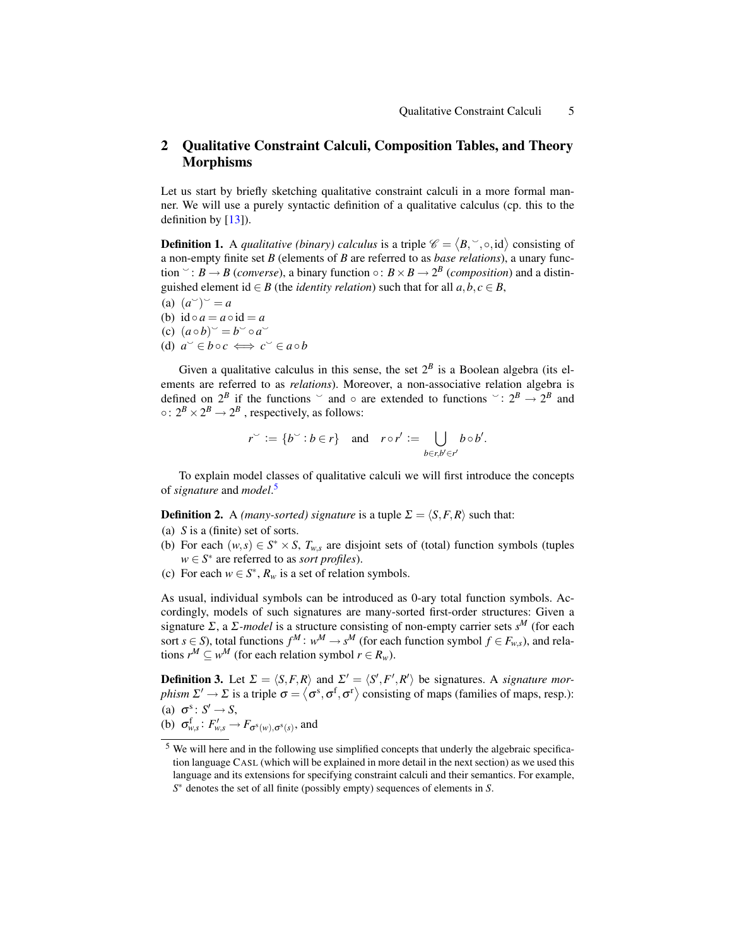# 2 Qualitative Constraint Calculi, Composition Tables, and Theory **Morphisms**

Let us start by briefly sketching qualitative constraint calculi in a more formal manner. We will use a purely syntactic definition of a qualitative calculus (cp. this to the definition by  $[13]$ ).

**Definition 1.** A *qualitative (binary) calculus* is a triple  $\mathscr{C} = \langle B, \degree, \circ, id \rangle$  consisting of a non-empty finite set *B* (elements of *B* are referred to as *base relations*), a unary function  $\cdot : B \rightarrow B$  (*converse*), a binary function  $\circ : B \times B \rightarrow 2^B$  (*composition*) and a distinguished element id  $\in$  *B* (the *identity relation*) such that for all  $a, b, c \in$  *B*,

(a)  $(a^{\smile})^{\smile} = a$ (b)  $id \circ a = a \circ id = a$  $(c)$   $(a \circ b)^{\sim} = b^{\sim} \circ a^{\sim}$ (d)  $a^{\circ} \in b \circ c \iff c^{\circ} \in a \circ b$ 

Given a qualitative calculus in this sense, the set  $2^B$  is a Boolean algebra (its elements are referred to as *relations*). Moreover, a non-associative relation algebra is defined on  $2^B$  if the functions  $\circ$  and  $\circ$  are extended to functions  $\circ$  :  $2^B \rightarrow 2^B$  and ○:  $2^B \times 2^B \rightarrow 2^B$ , respectively, as follows:

$$
r^{\sim} := \{b^{\sim} : b \in r\} \quad \text{and} \quad r \circ r' := \bigcup_{b \in r, b' \in r'} b \circ b'.
$$

To explain model classes of qualitative calculi we will first introduce the concepts of *signature* and *model*. [5](#page-4-0)

**Definition 2.** A *(many-sorted) signature* is a tuple  $\Sigma = \langle S, F, R \rangle$  such that:

- (a) *S* is a (finite) set of sorts.
- (b) For each  $(w, s) \in S^* \times S$ ,  $T_{w, s}$  are disjoint sets of (total) function symbols (tuples  $w \in S^*$  are referred to as *sort profiles*).
- (c) For each  $w \in S^*$ ,  $R_w$  is a set of relation symbols.

As usual, individual symbols can be introduced as 0-ary total function symbols. Accordingly, models of such signatures are many-sorted first-order structures: Given a signature Σ, a Σ*-model* is a structure consisting of non-empty carrier sets *s <sup>M</sup>* (for each sort *s* ∈ *S*), total functions  $f^M: w^M \to s^M$  (for each function symbol  $f \in F_{w,s}$ ), and relations  $r^M \subseteq w^M$  (for each relation symbol  $r \in R_w$ ).

**Definition 3.** Let  $\Sigma = \langle S, F, R \rangle$  and  $\Sigma' = \langle S', F', R' \rangle$  be signatures. A *signature morphism*  $\Sigma' \to \Sigma$  is a triple  $\sigma = \langle \sigma^s, \sigma^f, \sigma^r \rangle$  consisting of maps (families of maps, resp.): (a)  $\sigma^s : S' \to S$ ,

(b)  $\sigma_{w,s}^{\mathrm{f}}: F'_{w,s} \to F_{\sigma^{\mathrm{s}}(w),\sigma^{\mathrm{s}}(s)}$ , and

<span id="page-4-0"></span><sup>&</sup>lt;sup>5</sup> We will here and in the following use simplified concepts that underly the algebraic specification language CASL (which will be explained in more detail in the next section) as we used this language and its extensions for specifying constraint calculi and their semantics. For example, *S* <sup>∗</sup> denotes the set of all finite (possibly empty) sequences of elements in *S*.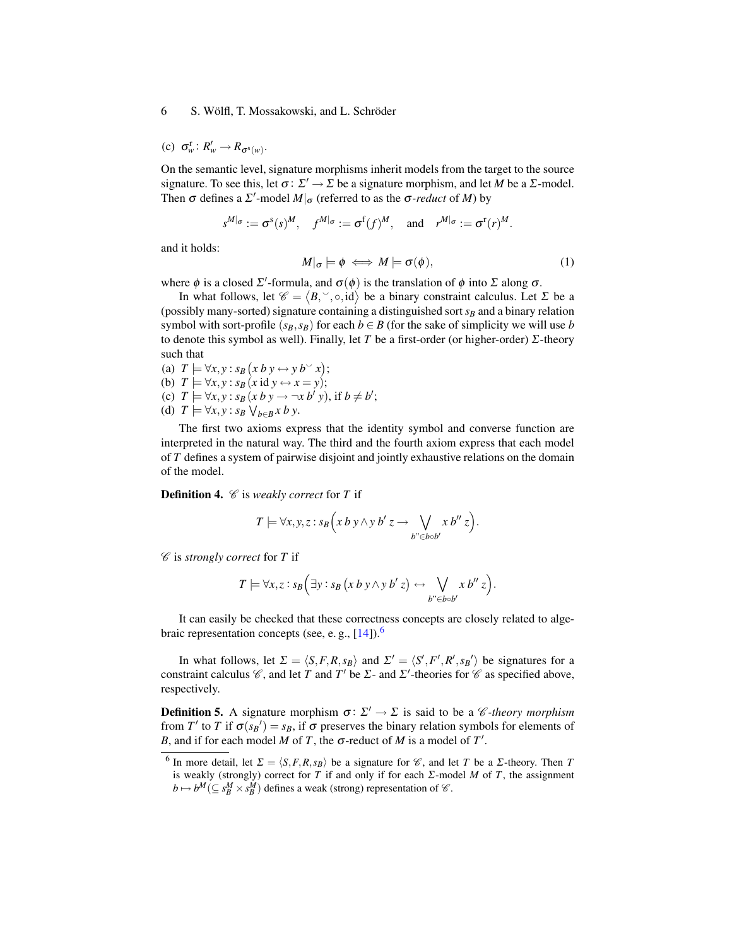(c)  $\sigma_w^{\text{r}}$ :  $R'_w \rightarrow R_{\sigma^{\text{s}}(w)}$ .

On the semantic level, signature morphisms inherit models from the target to the source signature. To see this, let  $\sigma: \Sigma' \to \Sigma$  be a signature morphism, and let *M* be a  $\Sigma$ -model. Then  $\sigma$  defines a  $\Sigma'$ -model  $M|_{\sigma}$  (referred to as the  $\sigma$ -*reduct* of *M*) by

$$
s^{M|\sigma} := \sigma^s(s)^M
$$
,  $f^{M|\sigma} := \sigma^f(f)^M$ , and  $r^{M|\sigma} := \sigma^r(r)^M$ .

and it holds:

$$
M|_{\sigma} \models \phi \iff M \models \sigma(\phi), \tag{1}
$$

where  $\phi$  is a closed  $\Sigma'$ -formula, and  $\sigma(\phi)$  is the translation of  $\phi$  into  $\Sigma$  along  $\sigma$ .

In what follows, let  $\mathscr{C} = \langle B, \degree, \circ, id \rangle$  be a binary constraint calculus. Let  $\Sigma$  be a (possibly many-sorted) signature containing a distinguished sort  $s_B$  and a binary relation symbol with sort-profile  $(s_B, s_B)$  for each  $b \in B$  (for the sake of simplicity we will use *b* to denote this symbol as well). Finally, let *T* be a first-order (or higher-order) Σ-theory such that

(a)  $T \models \forall x, y : s_B(x \, b \, y \leftrightarrow y \, b \lor x);$ (b)  $T \models \forall x, y : s_B \ (x \text{ id } y \leftrightarrow x = y);$ (c)  $T \models \forall x, y : s_B(x \, b \, y \rightarrow \neg x \, b' \, y)$ , if  $b \neq b'$ ; (d)  $T \models \forall x, y : s_B \vee_{b \in B} x b y$ .

The first two axioms express that the identity symbol and converse function are interpreted in the natural way. The third and the fourth axiom express that each model of *T* defines a system of pairwise disjoint and jointly exhaustive relations on the domain of the model.

<span id="page-5-1"></span>Definition 4. C is *weakly correct* for *T* if

$$
T \models \forall x, y, z : s_B(x \, b \, y \land y \, b' \, z \rightarrow \bigvee_{b^{\prime\prime} \in b \circ b'} x \, b^{\prime\prime} \, z).
$$

C is *strongly correct* for *T* if

$$
T \models \forall x, z : s_B \Big( \exists y : s_B \big( x \, b \, y \wedge y \, b' \, z \big) \leftrightarrow \bigvee_{b^{\prime\prime} \in b \circ b'} x \, b^{\prime\prime} \, z \Big).
$$

It can easily be checked that these correctness concepts are closely related to algebraic representation concepts (see, e.g.,  $[14]$ ).<sup>[6](#page-5-0)</sup>

In what follows, let  $\Sigma = \langle S, F, R, s_B \rangle$  and  $\Sigma' = \langle S', F', R', s_B' \rangle$  be signatures for a constraint calculus  $\mathcal C$ , and let *T* and *T'* be  $\Sigma$ - and  $\Sigma'$ -theories for  $\mathcal C$  as specified above, respectively.

**Definition 5.** A signature morphism  $\sigma: \Sigma' \to \Sigma$  is said to be a *C*-theory morphism from *T'* to *T* if  $\sigma(s_B') = s_B$ , if  $\sigma$  preserves the binary relation symbols for elements of *B*, and if for each model *M* of *T*, the  $\sigma$ -reduct of *M* is a model of *T*<sup>'</sup>.

<span id="page-5-0"></span><sup>&</sup>lt;sup>6</sup> In more detail, let  $\Sigma = \langle S, F, R, s_B \rangle$  be a signature for  $\mathcal{C}$ , and let *T* be a *Σ*-theory. Then *T* is weakly (strongly) correct for *T* if and only if for each Σ-model *M* of *T*, the assignment  $b \mapsto b^M (\subseteq s^M_B \times s^M_B)$  defines a weak (strong) representation of  $\mathscr{C}$ .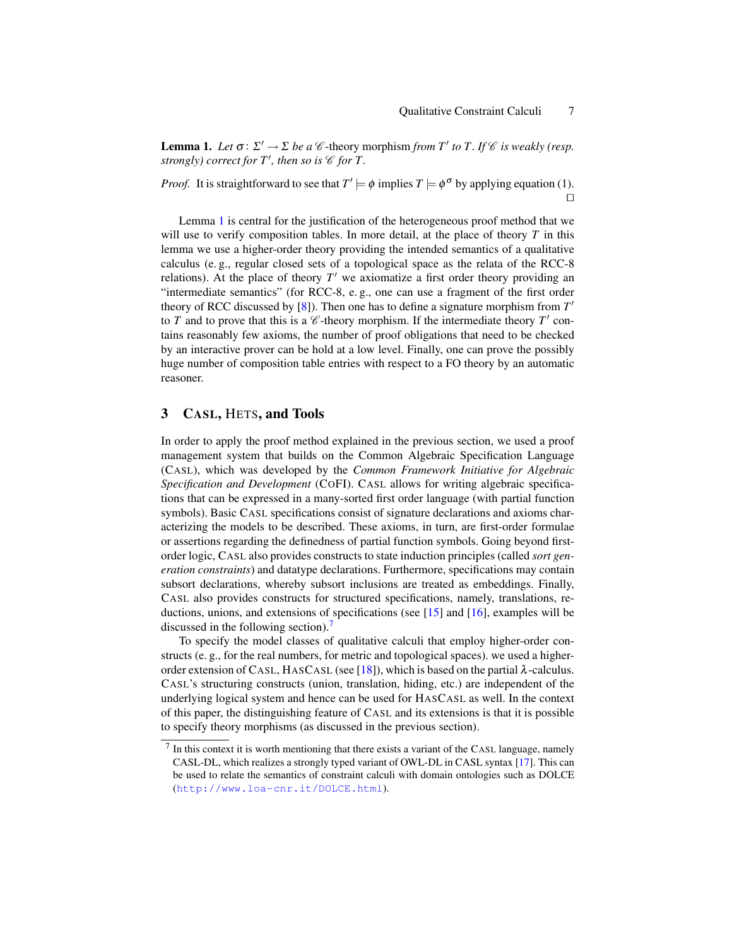<span id="page-6-0"></span>**Lemma 1.** Let  $\sigma: \Sigma' \to \Sigma$  be a  $\mathcal C$ -theory morphism *from*  $T'$  to  $T$ . If  $\mathcal C$  *is weakly (resp. strongly)* correct for  $T'$ , then so is  $\mathcal C$  for T.

*Proof.* It is straightforward to see that  $T' \models \phi$  implies  $T \models \phi^{\sigma}$  by applying equation (1).  $\Box$ 

Lemma [1](#page-6-0) is central for the justification of the heterogeneous proof method that we will use to verify composition tables. In more detail, at the place of theory *T* in this lemma we use a higher-order theory providing the intended semantics of a qualitative calculus (e. g., regular closed sets of a topological space as the relata of the RCC-8 relations). At the place of theory  $T'$  we axiomatize a first order theory providing an "intermediate semantics" (for RCC-8, e. g., one can use a fragment of the first order theory of RCC discussed by  $[8]$ ). Then one has to define a signature morphism from  $T'$ to  $T$  and to prove that this is a  $\mathcal C$ -theory morphism. If the intermediate theory  $T'$  contains reasonably few axioms, the number of proof obligations that need to be checked by an interactive prover can be hold at a low level. Finally, one can prove the possibly huge number of composition table entries with respect to a FO theory by an automatic reasoner.

# 3 CASL, HETS, and Tools

In order to apply the proof method explained in the previous section, we used a proof management system that builds on the Common Algebraic Specification Language (CASL), which was developed by the *Common Framework Initiative for Algebraic Specification and Development* (COFI). CASL allows for writing algebraic specifications that can be expressed in a many-sorted first order language (with partial function symbols). Basic CASL specifications consist of signature declarations and axioms characterizing the models to be described. These axioms, in turn, are first-order formulae or assertions regarding the definedness of partial function symbols. Going beyond firstorder logic, CASL also provides constructs to state induction principles (called *sort generation constraints*) and datatype declarations. Furthermore, specifications may contain subsort declarations, whereby subsort inclusions are treated as embeddings. Finally, CASL also provides constructs for structured specifications, namely, translations, reductions, unions, and extensions of specifications (see [\[15\]](#page-10-14) and [\[16\]](#page-10-15), examples will be discussed in the following section).

To specify the model classes of qualitative calculi that employ higher-order constructs (e. g., for the real numbers, for metric and topological spaces). we used a higher-order extension of CASL, HASCASL (see [\[18\]](#page-11-0)), which is based on the partial  $\lambda$ -calculus. CASL's structuring constructs (union, translation, hiding, etc.) are independent of the underlying logical system and hence can be used for HASCASL as well. In the context of this paper, the distinguishing feature of CASL and its extensions is that it is possible to specify theory morphisms (as discussed in the previous section).

<span id="page-6-1"></span> $<sup>7</sup>$  In this context it is worth mentioning that there exists a variant of the CASL language, namely</sup> CASL-DL, which realizes a strongly typed variant of OWL-DL in CASL syntax [\[17\]](#page-11-1). This can be used to relate the semantics of constraint calculi with domain ontologies such as DOLCE (<http://www.loa-cnr.it/DOLCE.html>).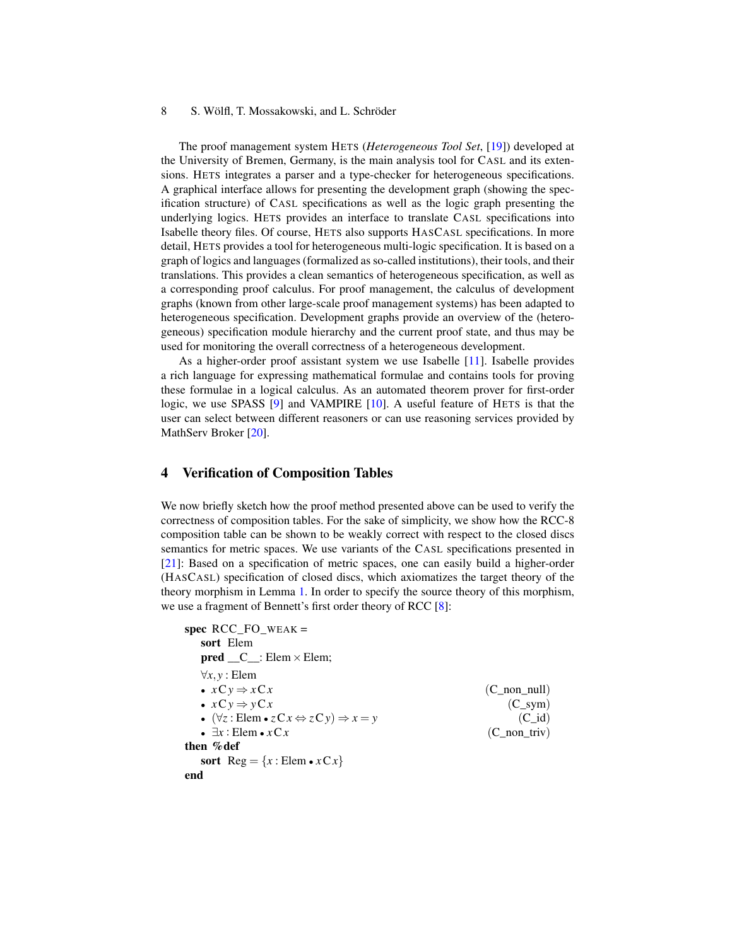The proof management system HETS (*Heterogeneous Tool Set*, [\[19\]](#page-11-2)) developed at the University of Bremen, Germany, is the main analysis tool for CASL and its extensions. HETS integrates a parser and a type-checker for heterogeneous specifications. A graphical interface allows for presenting the development graph (showing the specification structure) of CASL specifications as well as the logic graph presenting the underlying logics. HETS provides an interface to translate CASL specifications into Isabelle theory files. Of course, HETS also supports HASCASL specifications. In more detail, HETS provides a tool for heterogeneous multi-logic specification. It is based on a graph of logics and languages (formalized as so-called institutions), their tools, and their translations. This provides a clean semantics of heterogeneous specification, as well as a corresponding proof calculus. For proof management, the calculus of development graphs (known from other large-scale proof management systems) has been adapted to heterogeneous specification. Development graphs provide an overview of the (heterogeneous) specification module hierarchy and the current proof state, and thus may be used for monitoring the overall correctness of a heterogeneous development.

As a higher-order proof assistant system we use Isabelle [\[11\]](#page-10-10). Isabelle provides a rich language for expressing mathematical formulae and contains tools for proving these formulae in a logical calculus. As an automated theorem prover for first-order logic, we use SPASS [\[9\]](#page-10-8) and VAMPIRE [\[10\]](#page-10-9). A useful feature of HETS is that the user can select between different reasoners or can use reasoning services provided by MathServ Broker [\[20\]](#page-11-3).

# 4 Verification of Composition Tables

We now briefly sketch how the proof method presented above can be used to verify the correctness of composition tables. For the sake of simplicity, we show how the RCC-8 composition table can be shown to be weakly correct with respect to the closed discs semantics for metric spaces. We use variants of the CASL specifications presented in [\[21\]](#page-11-4): Based on a specification of metric spaces, one can easily build a higher-order (HASCASL) specification of closed discs, which axiomatizes the target theory of the theory morphism in Lemma [1.](#page-6-0) In order to specify the source theory of this morphism, we use a fragment of Bennett's first order theory of RCC [\[8\]](#page-10-7):

```
spec RCC_FO_WEAK =
  sort Elem
  pred __C__: Elem \times Elem;
  ∀x,y : Elem
  • x \text{C} y \Rightarrow x \text{C} x (C_non_null)
  • x \text{C} y \Rightarrow y \text{C} x (C_sym)
  • (∀z : Elem • zCx ⇔ zCy) ⇒ x = y (C_id)
  • \exists x : \text{Elem} \cdot x \, \text{C} \, x (C_non_triv)
then %def
  sort Reg = \{x : \text{Elem} \cdot xCx\}end
```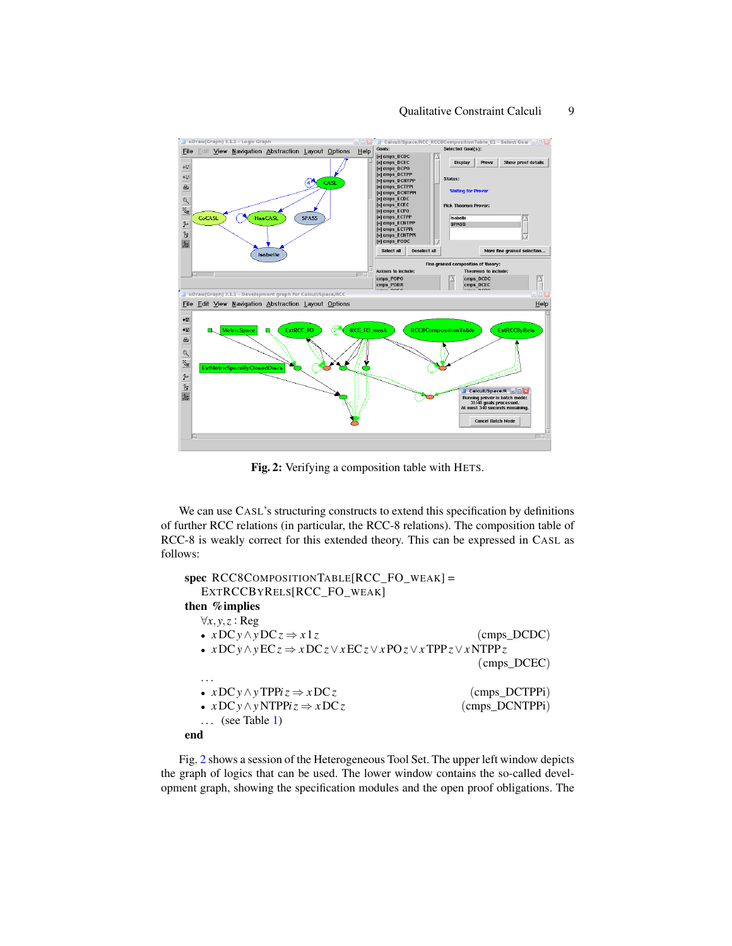

<span id="page-8-0"></span>Fig. 2: Verifying a composition table with HETS.

We can use CASL's structuring constructs to extend this specification by definitions of further RCC relations (in particular, the RCC-8 relations). The composition table of RCC-8 is weakly correct for this extended theory. This can be expressed in CASL as follows:

```
spec RCC8COMPOSITIONTABLE[RCC_FO_WEAK] =
  EXTRCCBYRELS[RCC_FO_WEAK]
then %implies
  ∀x,y,z : Reg
  • xDCy \wedge yDCz \Rightarrow x1z (cmps_DCDC)
  • xDCy∧yECz ⇒ xDCz∨xECz∨x POz∨xTPPz∨xNTPPz
                                           (cmps_DCEC)
  . . .
  • xDCy \wedge yTPPiz \Rightarrow xDCz (cmps_DCTPPi)
  • xDCy \wedge yNTPPi z \Rightarrow xDCz (cmps_DCNTPPi)
  \ldots1)
end
```
Fig. [2](#page-8-0) shows a session of the Heterogeneous Tool Set. The upper left window depicts the graph of logics that can be used. The lower window contains the so-called development graph, showing the specification modules and the open proof obligations. The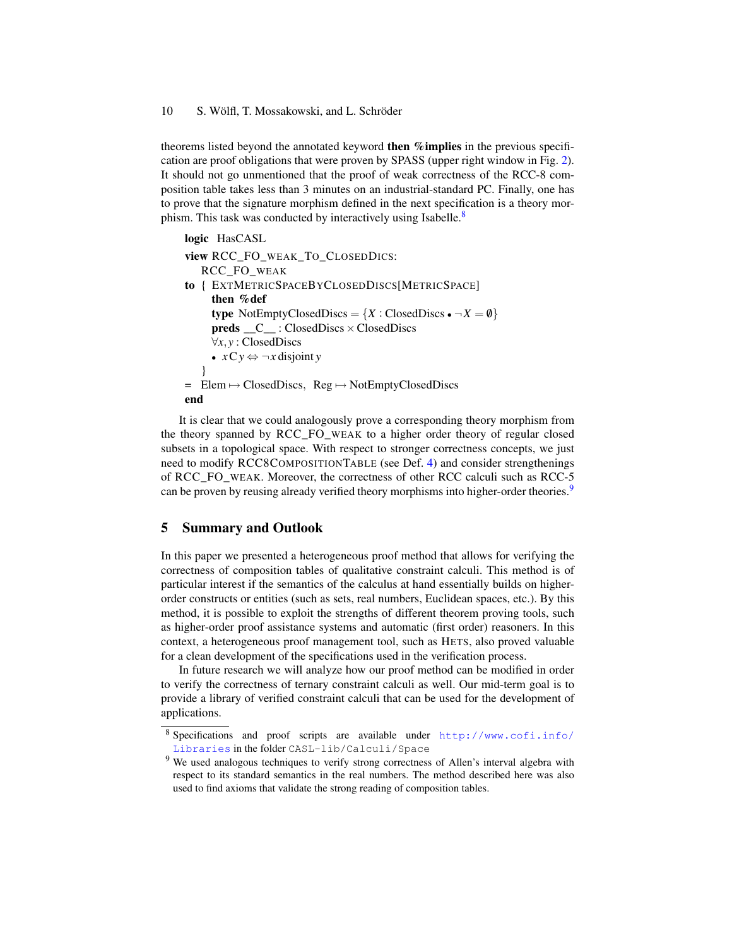theorems listed beyond the annotated keyword **then % implies** in the previous specification are proof obligations that were proven by SPASS (upper right window in Fig. [2\)](#page-8-0). It should not go unmentioned that the proof of weak correctness of the RCC-8 composition table takes less than 3 minutes on an industrial-standard PC. Finally, one has to prove that the signature morphism defined in the next specification is a theory mor-phism. This task was conducted by interactively using Isabelle.<sup>[8](#page-9-0)</sup>

```
logic HasCASL
view RCC_FO_WEAK_TO_CLOSEDDICS:
   RCC_FO_WEAK
to { EXTMETRICSPACEBYCLOSEDDISCS[METRICSPACE]
     then %def
     type NotEmptyClosedDiscs = \{X : \text{ClosedDiscs} \cdot \neg X = \emptyset\}preds _C: ClosedDiscs × ClosedDiscs
     ∀x,y : ClosedDiscs
     • xCy ⇔ ¬x disjoint y
   }
= Elem 7→ ClosedDiscs, Reg 7→ NotEmptyClosedDiscs
end
```
It is clear that we could analogously prove a corresponding theory morphism from the theory spanned by RCC\_FO\_WEAK to a higher order theory of regular closed subsets in a topological space. With respect to stronger correctness concepts, we just need to modify RCC8COMPOSITIONTABLE (see Def. [4\)](#page-5-1) and consider strengthenings of RCC\_FO\_WEAK. Moreover, the correctness of other RCC calculi such as RCC-5 can be proven by reusing already verified theory morphisms into higher-order theories.<sup>[9](#page-9-1)</sup>

## 5 Summary and Outlook

In this paper we presented a heterogeneous proof method that allows for verifying the correctness of composition tables of qualitative constraint calculi. This method is of particular interest if the semantics of the calculus at hand essentially builds on higherorder constructs or entities (such as sets, real numbers, Euclidean spaces, etc.). By this method, it is possible to exploit the strengths of different theorem proving tools, such as higher-order proof assistance systems and automatic (first order) reasoners. In this context, a heterogeneous proof management tool, such as HETS, also proved valuable for a clean development of the specifications used in the verification process.

In future research we will analyze how our proof method can be modified in order to verify the correctness of ternary constraint calculi as well. Our mid-term goal is to provide a library of verified constraint calculi that can be used for the development of applications.

<span id="page-9-0"></span><sup>8</sup> Specifications and proof scripts are available under [http://www.cofi.info/](http://www.cofi.info/Libraries) [Libraries](http://www.cofi.info/Libraries) in the folder CASL-lib/Calculi/Space

<span id="page-9-1"></span><sup>&</sup>lt;sup>9</sup> We used analogous techniques to verify strong correctness of Allen's interval algebra with respect to its standard semantics in the real numbers. The method described here was also used to find axioms that validate the strong reading of composition tables.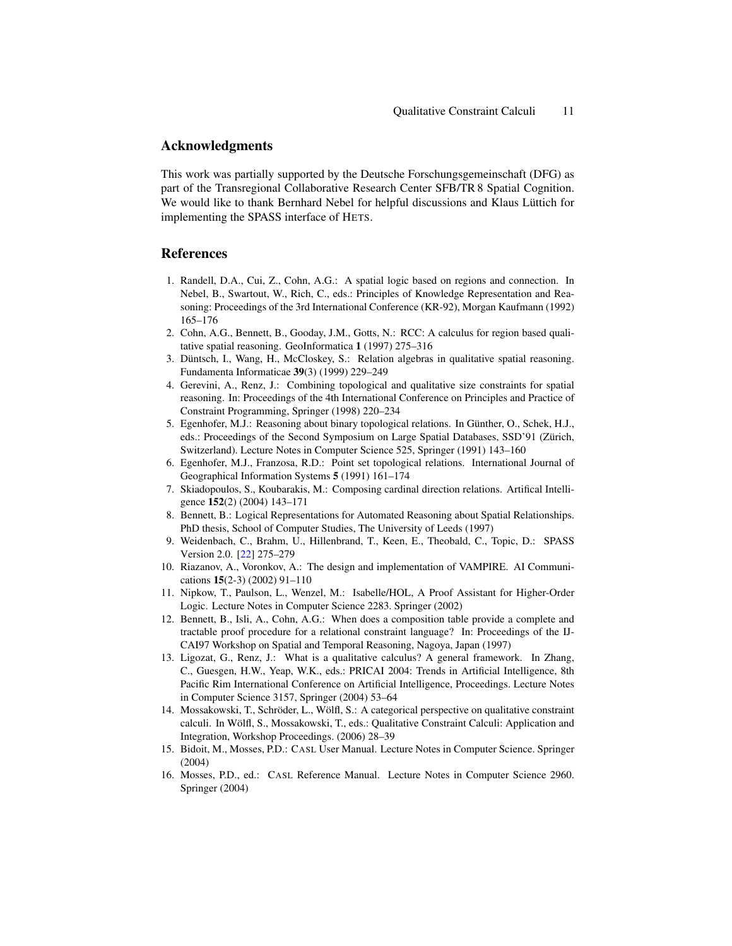### Acknowledgments

This work was partially supported by the Deutsche Forschungsgemeinschaft (DFG) as part of the Transregional Collaborative Research Center SFB/TR 8 Spatial Cognition. We would like to thank Bernhard Nebel for helpful discussions and Klaus Lüttich for implementing the SPASS interface of HETS.

# References

- <span id="page-10-0"></span>1. Randell, D.A., Cui, Z., Cohn, A.G.: A spatial logic based on regions and connection. In Nebel, B., Swartout, W., Rich, C., eds.: Principles of Knowledge Representation and Reasoning: Proceedings of the 3rd International Conference (KR-92), Morgan Kaufmann (1992) 165–176
- <span id="page-10-1"></span>2. Cohn, A.G., Bennett, B., Gooday, J.M., Gotts, N.: RCC: A calculus for region based qualitative spatial reasoning. GeoInformatica 1 (1997) 275–316
- <span id="page-10-2"></span>3. Düntsch, I., Wang, H., McCloskey, S.: Relation algebras in qualitative spatial reasoning. Fundamenta Informaticae 39(3) (1999) 229–249
- <span id="page-10-3"></span>4. Gerevini, A., Renz, J.: Combining topological and qualitative size constraints for spatial reasoning. In: Proceedings of the 4th International Conference on Principles and Practice of Constraint Programming, Springer (1998) 220–234
- <span id="page-10-4"></span>5. Egenhofer, M.J.: Reasoning about binary topological relations. In Günther, O., Schek, H.J., eds.: Proceedings of the Second Symposium on Large Spatial Databases, SSD'91 (Zürich, Switzerland). Lecture Notes in Computer Science 525, Springer (1991) 143–160
- <span id="page-10-5"></span>6. Egenhofer, M.J., Franzosa, R.D.: Point set topological relations. International Journal of Geographical Information Systems 5 (1991) 161–174
- <span id="page-10-6"></span>7. Skiadopoulos, S., Koubarakis, M.: Composing cardinal direction relations. Artifical Intelligence 152(2) (2004) 143–171
- <span id="page-10-7"></span>8. Bennett, B.: Logical Representations for Automated Reasoning about Spatial Relationships. PhD thesis, School of Computer Studies, The University of Leeds (1997)
- <span id="page-10-8"></span>9. Weidenbach, C., Brahm, U., Hillenbrand, T., Keen, E., Theobald, C., Topic, D.: SPASS Version 2.0. [\[22\]](#page-11-5) 275–279
- <span id="page-10-9"></span>10. Riazanov, A., Voronkov, A.: The design and implementation of VAMPIRE. AI Communications 15(2-3) (2002) 91–110
- <span id="page-10-10"></span>11. Nipkow, T., Paulson, L., Wenzel, M.: Isabelle/HOL, A Proof Assistant for Higher-Order Logic. Lecture Notes in Computer Science 2283. Springer (2002)
- <span id="page-10-11"></span>12. Bennett, B., Isli, A., Cohn, A.G.: When does a composition table provide a complete and tractable proof procedure for a relational constraint language? In: Proceedings of the IJ-CAI97 Workshop on Spatial and Temporal Reasoning, Nagoya, Japan (1997)
- <span id="page-10-12"></span>13. Ligozat, G., Renz, J.: What is a qualitative calculus? A general framework. In Zhang, C., Guesgen, H.W., Yeap, W.K., eds.: PRICAI 2004: Trends in Artificial Intelligence, 8th Pacific Rim International Conference on Artificial Intelligence, Proceedings. Lecture Notes in Computer Science 3157, Springer (2004) 53–64
- <span id="page-10-13"></span>14. Mossakowski, T., Schröder, L., Wölfl, S.: A categorical perspective on qualitative constraint calculi. In Wölfl, S., Mossakowski, T., eds.: Qualitative Constraint Calculi: Application and Integration, Workshop Proceedings. (2006) 28–39
- <span id="page-10-14"></span>15. Bidoit, M., Mosses, P.D.: CASL User Manual. Lecture Notes in Computer Science. Springer (2004)
- <span id="page-10-15"></span>16. Mosses, P.D., ed.: CASL Reference Manual. Lecture Notes in Computer Science 2960. Springer (2004)